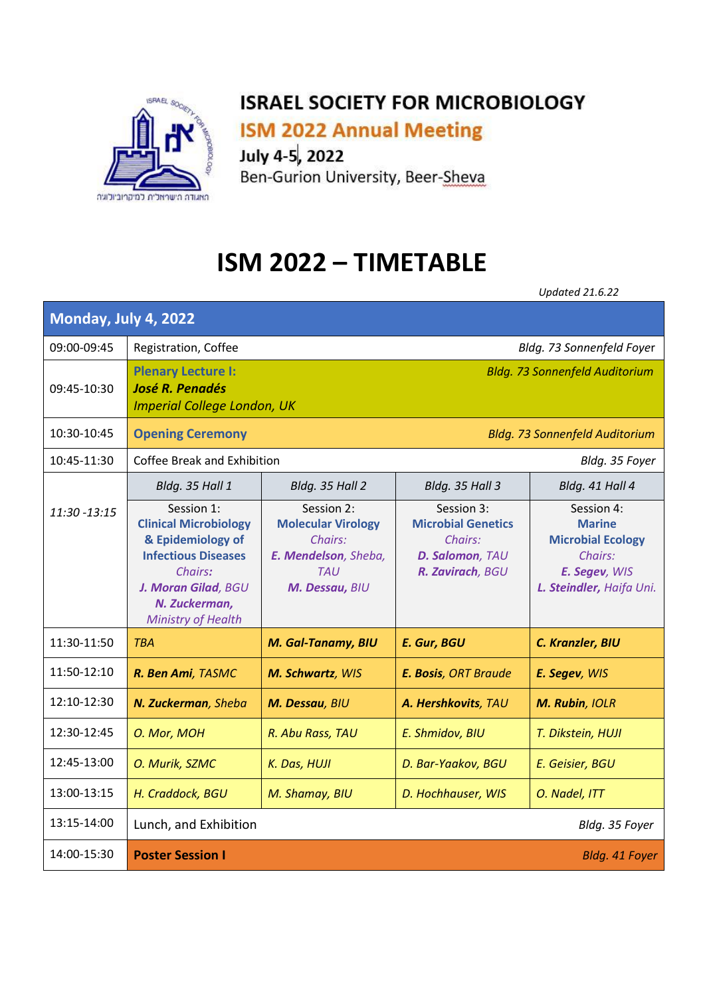

**ISM 2022 Annual Meeting** 

July 4-5, 2022

Ben-Gurion University, Beer-Sheva

## **ISM 2022 – TIMETABLE**

*Updated 21.6.22* 

| Monday, July 4, 2022 |                                                                                                                                                                               |                                                                                                            |                                                                                           |                                                                                                                 |  |
|----------------------|-------------------------------------------------------------------------------------------------------------------------------------------------------------------------------|------------------------------------------------------------------------------------------------------------|-------------------------------------------------------------------------------------------|-----------------------------------------------------------------------------------------------------------------|--|
| 09:00-09:45          | Bldg. 73 Sonnenfeld Foyer<br>Registration, Coffee                                                                                                                             |                                                                                                            |                                                                                           |                                                                                                                 |  |
| 09:45-10:30          | <b>Plenary Lecture I:</b><br><b>Bldg. 73 Sonnenfeld Auditorium</b><br><b>José R. Penadés</b><br><b>Imperial College London, UK</b>                                            |                                                                                                            |                                                                                           |                                                                                                                 |  |
| 10:30-10:45          | <b>Opening Ceremony</b><br><b>Bldg. 73 Sonnenfeld Auditorium</b>                                                                                                              |                                                                                                            |                                                                                           |                                                                                                                 |  |
| 10:45-11:30          | Coffee Break and Exhibition<br>Bldg. 35 Foyer                                                                                                                                 |                                                                                                            |                                                                                           |                                                                                                                 |  |
|                      | Bldg. 35 Hall 1                                                                                                                                                               | Bldg. 35 Hall 2                                                                                            | Bldg. 35 Hall 3                                                                           | Bldg. 41 Hall 4                                                                                                 |  |
| 11:30 -13:15         | Session 1:<br><b>Clinical Microbiology</b><br>& Epidemiology of<br><b>Infectious Diseases</b><br>Chairs:<br>J. Moran Gilad, BGU<br>N. Zuckerman,<br><b>Ministry of Health</b> | Session 2:<br><b>Molecular Virology</b><br>Chairs:<br>E. Mendelson, Sheba,<br><b>TAU</b><br>M. Dessau, BIU | Session 3:<br><b>Microbial Genetics</b><br>Chairs:<br>D. Salomon, TAU<br>R. Zavirach, BGU | Session 4:<br><b>Marine</b><br><b>Microbial Ecology</b><br>Chairs:<br>E. Segev, WIS<br>L. Steindler, Haifa Uni. |  |
| 11:30-11:50          | <b>TBA</b>                                                                                                                                                                    | M. Gal-Tanamy, BIU                                                                                         | E. Gur, BGU                                                                               | C. Kranzler, BIU                                                                                                |  |
| 11:50-12:10          | R. Ben Ami, TASMC                                                                                                                                                             | M. Schwartz, WIS                                                                                           | <b>E. Bosis</b> , ORT Braude                                                              | E. Segev, WIS                                                                                                   |  |
| 12:10-12:30          | N. Zuckerman, Sheba                                                                                                                                                           | M. Dessau, BIU                                                                                             | A. Hershkovits, TAU                                                                       | M. Rubin, IOLR                                                                                                  |  |
| 12:30-12:45          | O. Mor, MOH                                                                                                                                                                   | R. Abu Rass, TAU                                                                                           | E. Shmidov, BIU                                                                           | T. Dikstein, HUJI                                                                                               |  |
| 12:45-13:00          | O. Murik, SZMC                                                                                                                                                                | K. Das, HUJI                                                                                               | D. Bar-Yaakov, BGU                                                                        | E. Geisier, BGU                                                                                                 |  |
| 13:00-13:15          | H. Craddock, BGU                                                                                                                                                              | M. Shamay, BIU                                                                                             | D. Hochhauser, WIS                                                                        | O. Nadel, ITT                                                                                                   |  |
| 13:15-14:00          | Lunch, and Exhibition<br>Bldg. 35 Foyer                                                                                                                                       |                                                                                                            |                                                                                           |                                                                                                                 |  |
| 14:00-15:30          | <b>Poster Session I</b><br>Bldg. 41 Foyer                                                                                                                                     |                                                                                                            |                                                                                           |                                                                                                                 |  |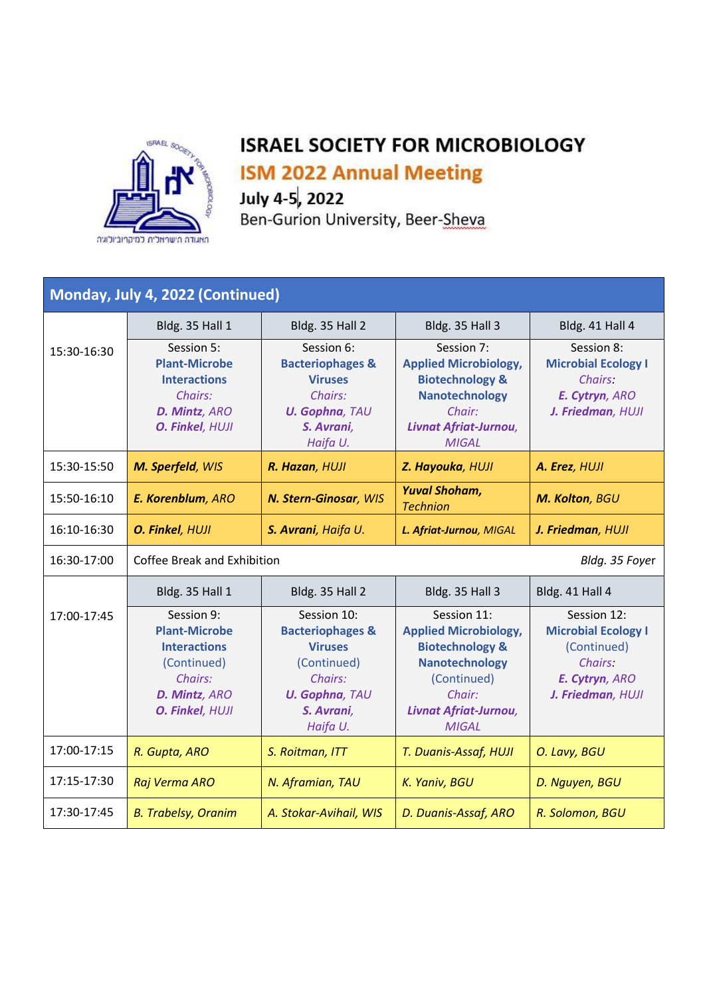

**ISM 2022 Annual Meeting** 

July 4-5, 2022<br>Ben-Gurion University, Beer-Sheva

| Monday, July 4, 2022 (Continued) |                                                                                                                         |                                                                                                                                           |                                                                                                                                                                      |                                                                                                            |
|----------------------------------|-------------------------------------------------------------------------------------------------------------------------|-------------------------------------------------------------------------------------------------------------------------------------------|----------------------------------------------------------------------------------------------------------------------------------------------------------------------|------------------------------------------------------------------------------------------------------------|
|                                  | Bldg. 35 Hall 1                                                                                                         | Bldg. 35 Hall 2                                                                                                                           | Bldg. 35 Hall 3                                                                                                                                                      | Bldg. 41 Hall 4                                                                                            |
| 15:30-16:30                      | Session 5:<br><b>Plant-Microbe</b><br><b>Interactions</b><br>Chairs:<br>D. Mintz, ARO<br>O. Finkel, HUJI                | Session 6:<br><b>Bacteriophages &amp;</b><br><b>Viruses</b><br>Chairs:<br><b>U. Gophna, TAU</b><br>S. Avrani,<br>Haifa U.                 | Session 7:<br><b>Applied Microbiology,</b><br><b>Biotechnology &amp;</b><br><b>Nanotechnology</b><br>Chair:<br>Livnat Afriat-Jurnou,<br><b>MIGAL</b>                 | Session 8:<br><b>Microbial Ecology I</b><br>Chairs:<br>E. Cytryn, ARO<br>J. Friedman, HUJI                 |
| 15:30-15:50                      | M. Sperfeld, WIS                                                                                                        | R. Hazan, HUJI                                                                                                                            | Z. Hayouka, HUJI                                                                                                                                                     | A. Erez, HUJI                                                                                              |
| 15:50-16:10                      | E. Korenblum, ARO                                                                                                       | N. Stern-Ginosar, WIS                                                                                                                     | <b>Yuval Shoham,</b><br><b>Technion</b>                                                                                                                              | M. Kolton, BGU                                                                                             |
| 16:10-16:30                      | O. Finkel, HUJI                                                                                                         | S. Avrani, Haifa U.                                                                                                                       | L. Afriat-Jurnou, MIGAL                                                                                                                                              | J. Friedman, HUJI                                                                                          |
| 16:30-17:00                      | Coffee Break and Exhibition<br>Bldg. 35 Foyer                                                                           |                                                                                                                                           |                                                                                                                                                                      |                                                                                                            |
|                                  |                                                                                                                         |                                                                                                                                           |                                                                                                                                                                      |                                                                                                            |
|                                  | Bldg. 35 Hall 1                                                                                                         | Bldg. 35 Hall 2                                                                                                                           | Bldg. 35 Hall 3                                                                                                                                                      | Bldg. 41 Hall 4                                                                                            |
| 17:00-17:45                      | Session 9:<br><b>Plant-Microbe</b><br><b>Interactions</b><br>(Continued)<br>Chairs:<br>D. Mintz, ARO<br>O. Finkel, HUJI | Session 10:<br><b>Bacteriophages &amp;</b><br><b>Viruses</b><br>(Continued)<br>Chairs:<br><b>U. Gophna, TAU</b><br>S. Avrani,<br>Haifa U. | Session 11:<br><b>Applied Microbiology,</b><br><b>Biotechnology &amp;</b><br><b>Nanotechnology</b><br>(Continued)<br>Chair:<br>Livnat Afriat-Jurnou,<br><b>MIGAL</b> | Session 12:<br><b>Microbial Ecology I</b><br>(Continued)<br>Chairs:<br>E. Cytryn, ARO<br>J. Friedman, HUJI |
| 17:00-17:15                      | R. Gupta, ARO                                                                                                           | S. Roitman, ITT                                                                                                                           | T. Duanis-Assaf, HUJI                                                                                                                                                | O. Lavy, BGU                                                                                               |
| 17:15-17:30                      | Raj Verma ARO                                                                                                           | N. Aframian, TAU                                                                                                                          | K. Yaniv, BGU                                                                                                                                                        | D. Nguyen, BGU                                                                                             |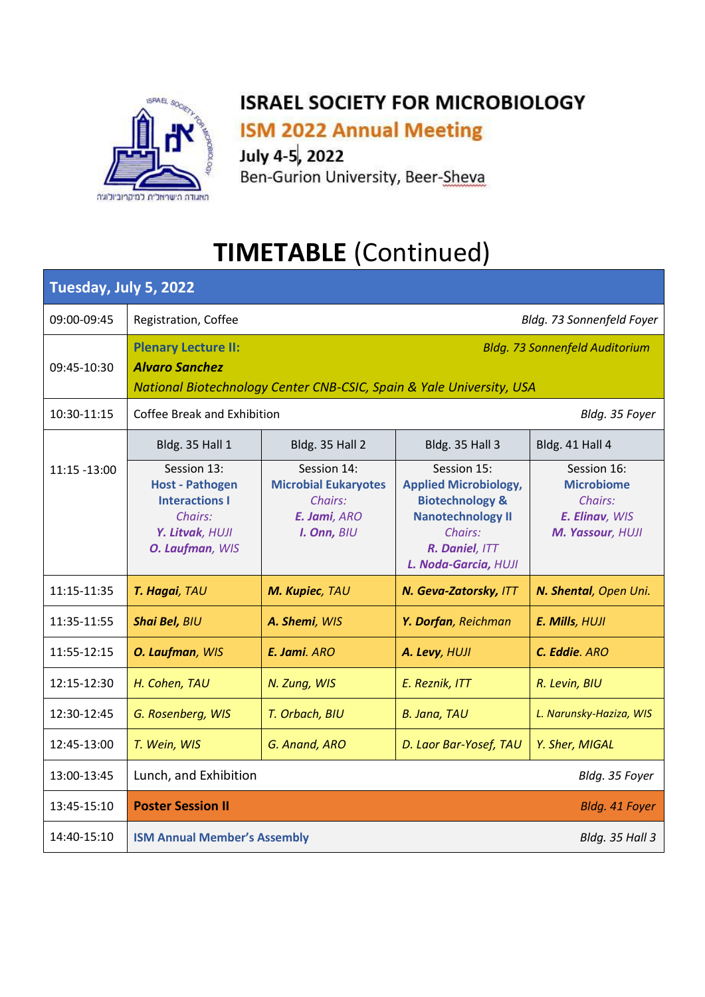

**ISM 2022 Annual Meeting** 

July 4-5, 2022

Ben-Gurion University, Beer-Sheva

# **TIMETABLE (Continued)**

| Tuesday, July 5, 2022 |                                                                                                                                                                      |                                                                                      |                                                                                                                                                            |                                                                                   |
|-----------------------|----------------------------------------------------------------------------------------------------------------------------------------------------------------------|--------------------------------------------------------------------------------------|------------------------------------------------------------------------------------------------------------------------------------------------------------|-----------------------------------------------------------------------------------|
| 09:00-09:45           | Registration, Coffee                                                                                                                                                 |                                                                                      |                                                                                                                                                            | Bldg. 73 Sonnenfeld Foyer                                                         |
| 09:45-10:30           | <b>Plenary Lecture II:</b><br><b>Bldg. 73 Sonnenfeld Auditorium</b><br><b>Alvaro Sanchez</b><br>National Biotechnology Center CNB-CSIC, Spain & Yale University, USA |                                                                                      |                                                                                                                                                            |                                                                                   |
| 10:30-11:15           | Coffee Break and Exhibition<br>Bldg. 35 Foyer                                                                                                                        |                                                                                      |                                                                                                                                                            |                                                                                   |
|                       | Bldg. 35 Hall 1                                                                                                                                                      | Bldg. 35 Hall 2                                                                      | Bldg. 35 Hall 3                                                                                                                                            | Bldg. 41 Hall 4                                                                   |
| 11:15 -13:00          | Session 13:<br><b>Host - Pathogen</b><br><b>Interactions I</b><br>Chairs:<br>Y. Litvak, HUJI<br>O. Laufman, WIS                                                      | Session 14:<br><b>Microbial Eukaryotes</b><br>Chairs:<br>E. Jami, ARO<br>I. Onn, BIU | Session 15:<br><b>Applied Microbiology,</b><br><b>Biotechnology &amp;</b><br><b>Nanotechnology II</b><br>Chairs:<br>R. Daniel, ITT<br>L. Noda-Garcia, HUJI | Session 16:<br><b>Microbiome</b><br>Chairs:<br>E. Elinav, WIS<br>M. Yassour, HUJI |
| 11:15-11:35           | T. Hagai, TAU                                                                                                                                                        | M. Kupiec, TAU                                                                       | N. Geva-Zatorsky, ITT                                                                                                                                      | N. Shental, Open Uni.                                                             |
| 11:35-11:55           | <b>Shai Bel, BIU</b>                                                                                                                                                 | A. Shemi, WIS                                                                        | Y. Dorfan, Reichman                                                                                                                                        | E. Mills, HUJI                                                                    |
| 11:55-12:15           | O. Laufman, WIS                                                                                                                                                      | E. Jami. ARO                                                                         | A. Levy, HUJI                                                                                                                                              | C. Eddie. ARO                                                                     |
| 12:15-12:30           | H. Cohen, TAU                                                                                                                                                        | N. Zung, WIS                                                                         | E. Reznik, ITT                                                                                                                                             | R. Levin, BIU                                                                     |
| 12:30-12:45           | G. Rosenberg, WIS                                                                                                                                                    | T. Orbach, BIU                                                                       | <b>B. Jana, TAU</b>                                                                                                                                        | L. Narunsky-Haziza, WIS                                                           |
| 12:45-13:00           | T. Wein, WIS                                                                                                                                                         | G. Anand, ARO                                                                        | D. Laor Bar-Yosef, TAU                                                                                                                                     | Y. Sher, MIGAL                                                                    |
| 13:00-13:45           | Lunch, and Exhibition<br>Bldg. 35 Foyer                                                                                                                              |                                                                                      |                                                                                                                                                            |                                                                                   |
| 13:45-15:10           | <b>Poster Session II</b><br>Bldg. 41 Foyer                                                                                                                           |                                                                                      |                                                                                                                                                            |                                                                                   |
| 14:40-15:10           | <b>ISM Annual Member's Assembly</b>                                                                                                                                  |                                                                                      |                                                                                                                                                            | Bldg. 35 Hall 3                                                                   |